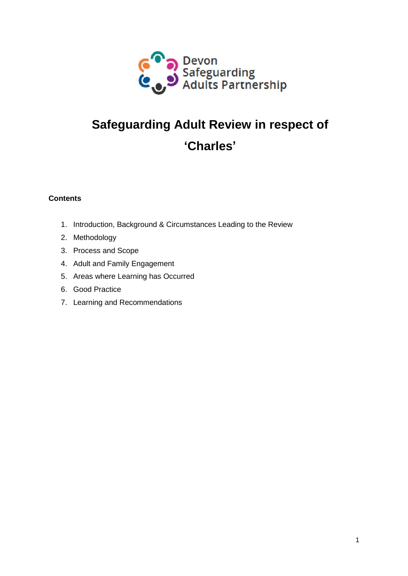

# **Safeguarding Adult Review in respect of 'Charles'**

## **Contents**

- 1. Introduction, Background & Circumstances Leading to the Review
- 2. Methodology
- 3. Process and Scope
- 4. Adult and Family Engagement
- 5. Areas where Learning has Occurred
- 6. Good Practice
- 7. Learning and Recommendations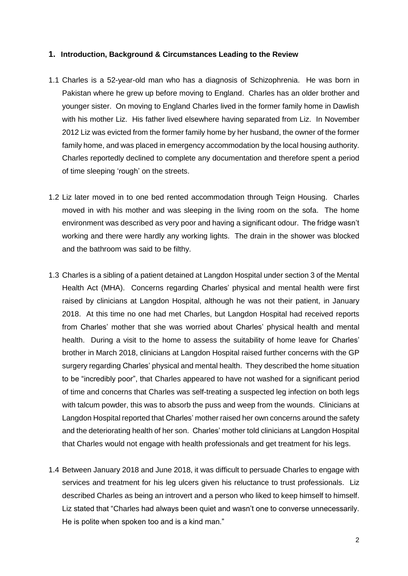#### **1. Introduction, Background & Circumstances Leading to the Review**

- 1.1 Charles is a 52-year-old man who has a diagnosis of Schizophrenia. He was born in Pakistan where he grew up before moving to England. Charles has an older brother and younger sister. On moving to England Charles lived in the former family home in Dawlish with his mother Liz. His father lived elsewhere having separated from Liz. In November 2012 Liz was evicted from the former family home by her husband, the owner of the former family home, and was placed in emergency accommodation by the local housing authority. Charles reportedly declined to complete any documentation and therefore spent a period of time sleeping 'rough' on the streets.
- 1.2 Liz later moved in to one bed rented accommodation through Teign Housing. Charles moved in with his mother and was sleeping in the living room on the sofa. The home environment was described as very poor and having a significant odour. The fridge wasn't working and there were hardly any working lights. The drain in the shower was blocked and the bathroom was said to be filthy.
- 1.3 Charles is a sibling of a patient detained at Langdon Hospital under section 3 of the Mental Health Act (MHA). Concerns regarding Charles' physical and mental health were first raised by clinicians at Langdon Hospital, although he was not their patient, in January 2018. At this time no one had met Charles, but Langdon Hospital had received reports from Charles' mother that she was worried about Charles' physical health and mental health. During a visit to the home to assess the suitability of home leave for Charles' brother in March 2018, clinicians at Langdon Hospital raised further concerns with the GP surgery regarding Charles' physical and mental health. They described the home situation to be "incredibly poor", that Charles appeared to have not washed for a significant period of time and concerns that Charles was self-treating a suspected leg infection on both legs with talcum powder, this was to absorb the puss and weep from the wounds. Clinicians at Langdon Hospital reported that Charles' mother raised her own concerns around the safety and the deteriorating health of her son. Charles' mother told clinicians at Langdon Hospital that Charles would not engage with health professionals and get treatment for his legs.
- 1.4 Between January 2018 and June 2018, it was difficult to persuade Charles to engage with services and treatment for his leg ulcers given his reluctance to trust professionals. Liz described Charles as being an introvert and a person who liked to keep himself to himself. Liz stated that "Charles had always been quiet and wasn't one to converse unnecessarily. He is polite when spoken too and is a kind man."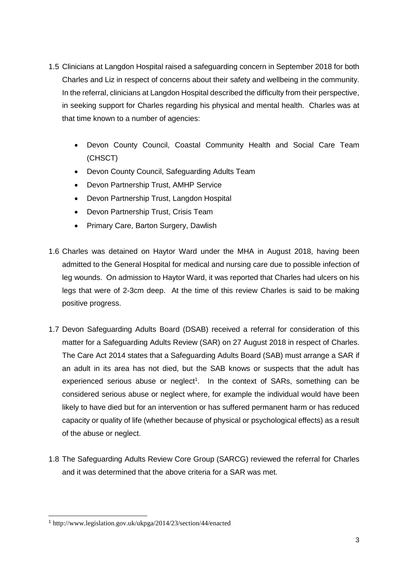- 1.5 Clinicians at Langdon Hospital raised a safeguarding concern in September 2018 for both Charles and Liz in respect of concerns about their safety and wellbeing in the community. In the referral, clinicians at Langdon Hospital described the difficulty from their perspective, in seeking support for Charles regarding his physical and mental health. Charles was at that time known to a number of agencies:
	- Devon County Council, Coastal Community Health and Social Care Team (CHSCT)
	- Devon County Council, Safeguarding Adults Team
	- Devon Partnership Trust, AMHP Service
	- Devon Partnership Trust, Langdon Hospital
	- Devon Partnership Trust, Crisis Team
	- Primary Care, Barton Surgery, Dawlish
- 1.6 Charles was detained on Haytor Ward under the MHA in August 2018, having been admitted to the General Hospital for medical and nursing care due to possible infection of leg wounds. On admission to Haytor Ward, it was reported that Charles had ulcers on his legs that were of 2-3cm deep. At the time of this review Charles is said to be making positive progress.
- 1.7 Devon Safeguarding Adults Board (DSAB) received a referral for consideration of this matter for a Safeguarding Adults Review (SAR) on 27 August 2018 in respect of Charles. The Care Act 2014 states that a Safeguarding Adults Board (SAB) must arrange a SAR if an adult in its area has not died, but the SAB knows or suspects that the adult has experienced serious abuse or neglect<sup>1</sup>. In the context of SARs, something can be considered serious abuse or neglect where, for example the individual would have been likely to have died but for an intervention or has suffered permanent harm or has reduced capacity or quality of life (whether because of physical or psychological effects) as a result of the abuse or neglect.
- 1.8 The Safeguarding Adults Review Core Group (SARCG) reviewed the referral for Charles and it was determined that the above criteria for a SAR was met.

l

<sup>1</sup> <http://www.legislation.gov.uk/ukpga/2014/23/section/44/enacted>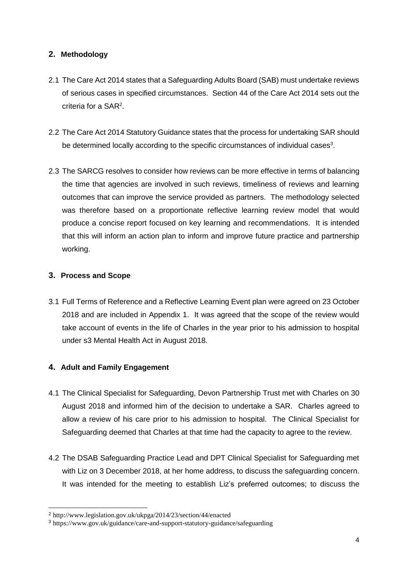## **2. Methodology**

- 2.1 The Care Act 2014 states that a Safeguarding Adults Board (SAB) must undertake reviews of serious cases in specified circumstances. Section 44 of the Care Act 2014 sets out the criteria for a SAR<sup>2</sup>.
- 2.2 The Care Act 2014 Statutory Guidance states that the process for undertaking SAR should be determined locally according to the specific circumstances of individual cases<sup>3</sup>.
- 2.3 The SARCG resolves to consider how reviews can be more effective in terms of balancing the time that agencies are involved in such reviews, timeliness of reviews and learning outcomes that can improve the service provided as partners. The methodology selected was therefore based on a proportionate reflective learning review model that would produce a concise report focused on key learning and recommendations. It is intended that this will inform an action plan to inform and improve future practice and partnership working.

## **3. Process and Scope**

l

3.1 Full Terms of Reference and a Reflective Learning Event plan were agreed on 23 October 2018 and are included in Appendix 1. It was agreed that the scope of the review would take account of events in the life of Charles in the year prior to his admission to hospital under s3 Mental Health Act in August 2018.

# **4. Adult and Family Engagement**

- 4.1 The Clinical Specialist for Safeguarding, Devon Partnership Trust met with Charles on 30 August 2018 and informed him of the decision to undertake a SAR. Charles agreed to allow a review of his care prior to his admission to hospital. The Clinical Specialist for Safeguarding deemed that Charles at that time had the capacity to agree to the review.
- 4.2 The DSAB Safeguarding Practice Lead and DPT Clinical Specialist for Safeguarding met with Liz on 3 December 2018, at her home address, to discuss the safeguarding concern. It was intended for the meeting to establish Liz's preferred outcomes; to discuss the

<sup>2</sup> http://www.legislation.gov.uk/ukpga/2014/23/section/44/enacted

<sup>3</sup> https://www.gov.uk/guidance/care-and-support-statutory-guidance/safeguarding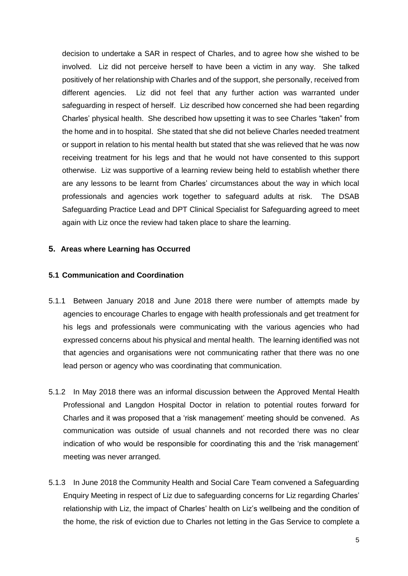decision to undertake a SAR in respect of Charles, and to agree how she wished to be involved. Liz did not perceive herself to have been a victim in any way. She talked positively of her relationship with Charles and of the support, she personally, received from different agencies. Liz did not feel that any further action was warranted under safeguarding in respect of herself. Liz described how concerned she had been regarding Charles' physical health. She described how upsetting it was to see Charles "taken" from the home and in to hospital. She stated that she did not believe Charles needed treatment or support in relation to his mental health but stated that she was relieved that he was now receiving treatment for his legs and that he would not have consented to this support otherwise. Liz was supportive of a learning review being held to establish whether there are any lessons to be learnt from Charles' circumstances about the way in which local professionals and agencies work together to safeguard adults at risk. The DSAB Safeguarding Practice Lead and DPT Clinical Specialist for Safeguarding agreed to meet again with Liz once the review had taken place to share the learning.

#### **5. Areas where Learning has Occurred**

#### **5.1 Communication and Coordination**

- 5.1.1 Between January 2018 and June 2018 there were number of attempts made by agencies to encourage Charles to engage with health professionals and get treatment for his legs and professionals were communicating with the various agencies who had expressed concerns about his physical and mental health. The learning identified was not that agencies and organisations were not communicating rather that there was no one lead person or agency who was coordinating that communication.
- 5.1.2 In May 2018 there was an informal discussion between the Approved Mental Health Professional and Langdon Hospital Doctor in relation to potential routes forward for Charles and it was proposed that a 'risk management' meeting should be convened. As communication was outside of usual channels and not recorded there was no clear indication of who would be responsible for coordinating this and the 'risk management' meeting was never arranged.
- 5.1.3 In June 2018 the Community Health and Social Care Team convened a Safeguarding Enquiry Meeting in respect of Liz due to safeguarding concerns for Liz regarding Charles' relationship with Liz, the impact of Charles' health on Liz's wellbeing and the condition of the home, the risk of eviction due to Charles not letting in the Gas Service to complete a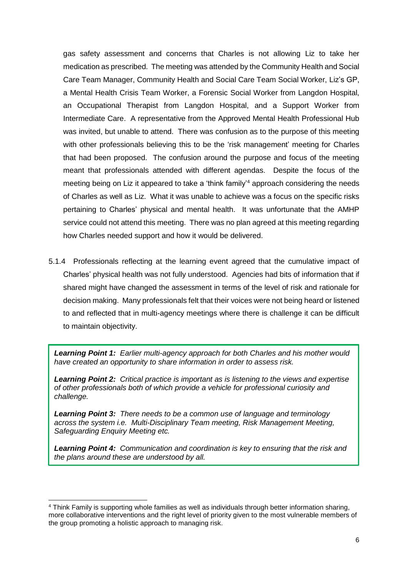gas safety assessment and concerns that Charles is not allowing Liz to take her medication as prescribed. The meeting was attended by the Community Health and Social Care Team Manager, Community Health and Social Care Team Social Worker, Liz's GP, a Mental Health Crisis Team Worker, a Forensic Social Worker from Langdon Hospital, an Occupational Therapist from Langdon Hospital, and a Support Worker from Intermediate Care. A representative from the Approved Mental Health Professional Hub was invited, but unable to attend. There was confusion as to the purpose of this meeting with other professionals believing this to be the 'risk management' meeting for Charles that had been proposed. The confusion around the purpose and focus of the meeting meant that professionals attended with different agendas. Despite the focus of the meeting being on Liz it appeared to take a 'think family'<sup>4</sup> approach considering the needs of Charles as well as Liz. What it was unable to achieve was a focus on the specific risks pertaining to Charles' physical and mental health. It was unfortunate that the AMHP service could not attend this meeting. There was no plan agreed at this meeting regarding how Charles needed support and how it would be delivered.

5.1.4 Professionals reflecting at the learning event agreed that the cumulative impact of Charles' physical health was not fully understood. Agencies had bits of information that if shared might have changed the assessment in terms of the level of risk and rationale for decision making. Many professionals felt that their voices were not being heard or listened to and reflected that in multi-agency meetings where there is challenge it can be difficult to maintain objectivity.

*Learning Point 1: Earlier multi-agency approach for both Charles and his mother would have created an opportunity to share information in order to assess risk.*

*Learning Point 2: Critical practice is important as is listening to the views and expertise of other professionals both of which provide a vehicle for professional curiosity and challenge.* 

*Learning Point 3: There needs to be a common use of language and terminology across the system i.e. Multi-Disciplinary Team meeting, Risk Management Meeting, Safeguarding Enquiry Meeting etc.*

*Learning Point 4: Communication and coordination is key to ensuring that the risk and the plans around these are understood by all.* 

l

<sup>4</sup> Think Family is supporting whole families as well as individuals through better information sharing, more collaborative interventions and the right level of priority given to the most vulnerable members of the group promoting a holistic approach to managing risk.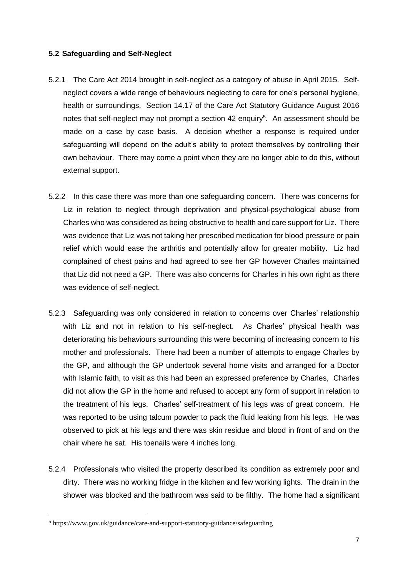#### **5.2 Safeguarding and Self-Neglect**

- 5.2.1 The Care Act 2014 brought in self-neglect as a category of abuse in April 2015. Selfneglect covers a wide range of behaviours neglecting to care for one's personal hygiene, health or surroundings. Section 14.17 of the Care Act Statutory Guidance August 2016 notes that self-neglect may not prompt a section 42 enquiry<sup>5</sup>. An assessment should be made on a case by case basis. A decision whether a response is required under safeguarding will depend on the adult's ability to protect themselves by controlling their own behaviour. There may come a point when they are no longer able to do this, without external support.
- 5.2.2 In this case there was more than one safeguarding concern. There was concerns for Liz in relation to neglect through deprivation and physical-psychological abuse from Charles who was considered as being obstructive to health and care support for Liz. There was evidence that Liz was not taking her prescribed medication for blood pressure or pain relief which would ease the arthritis and potentially allow for greater mobility. Liz had complained of chest pains and had agreed to see her GP however Charles maintained that Liz did not need a GP. There was also concerns for Charles in his own right as there was evidence of self-neglect.
- 5.2.3 Safeguarding was only considered in relation to concerns over Charles' relationship with Liz and not in relation to his self-neglect. As Charles' physical health was deteriorating his behaviours surrounding this were becoming of increasing concern to his mother and professionals. There had been a number of attempts to engage Charles by the GP, and although the GP undertook several home visits and arranged for a Doctor with Islamic faith, to visit as this had been an expressed preference by Charles, Charles did not allow the GP in the home and refused to accept any form of support in relation to the treatment of his legs. Charles' self-treatment of his legs was of great concern. He was reported to be using talcum powder to pack the fluid leaking from his legs. He was observed to pick at his legs and there was skin residue and blood in front of and on the chair where he sat. His toenails were 4 inches long.
- 5.2.4 Professionals who visited the property described its condition as extremely poor and dirty. There was no working fridge in the kitchen and few working lights. The drain in the shower was blocked and the bathroom was said to be filthy. The home had a significant

l

<sup>5</sup> https://www.gov.uk/guidance/care-and-support-statutory-guidance/safeguarding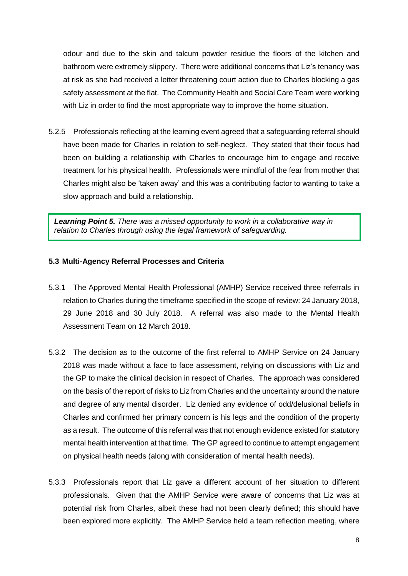odour and due to the skin and talcum powder residue the floors of the kitchen and bathroom were extremely slippery. There were additional concerns that Liz's tenancy was at risk as she had received a letter threatening court action due to Charles blocking a gas safety assessment at the flat. The Community Health and Social Care Team were working with Liz in order to find the most appropriate way to improve the home situation.

5.2.5 Professionals reflecting at the learning event agreed that a safeguarding referral should have been made for Charles in relation to self-neglect. They stated that their focus had been on building a relationship with Charles to encourage him to engage and receive treatment for his physical health. Professionals were mindful of the fear from mother that Charles might also be 'taken away' and this was a contributing factor to wanting to take a slow approach and build a relationship.

*Learning Point 5. There was a missed opportunity to work in a collaborative way in relation to Charles through using the legal framework of safeguarding.*

#### **5.3 Multi-Agency Referral Processes and Criteria**

- 5.3.1 The Approved Mental Health Professional (AMHP) Service received three referrals in relation to Charles during the timeframe specified in the scope of review: 24 January 2018, 29 June 2018 and 30 July 2018. A referral was also made to the Mental Health Assessment Team on 12 March 2018.
- 5.3.2 The decision as to the outcome of the first referral to AMHP Service on 24 January 2018 was made without a face to face assessment, relying on discussions with Liz and the GP to make the clinical decision in respect of Charles. The approach was considered on the basis of the report of risks to Liz from Charles and the uncertainty around the nature and degree of any mental disorder. Liz denied any evidence of odd/delusional beliefs in Charles and confirmed her primary concern is his legs and the condition of the property as a result. The outcome of this referral was that not enough evidence existed for statutory mental health intervention at that time. The GP agreed to continue to attempt engagement on physical health needs (along with consideration of mental health needs).
- 5.3.3 Professionals report that Liz gave a different account of her situation to different professionals. Given that the AMHP Service were aware of concerns that Liz was at potential risk from Charles, albeit these had not been clearly defined; this should have been explored more explicitly. The AMHP Service held a team reflection meeting, where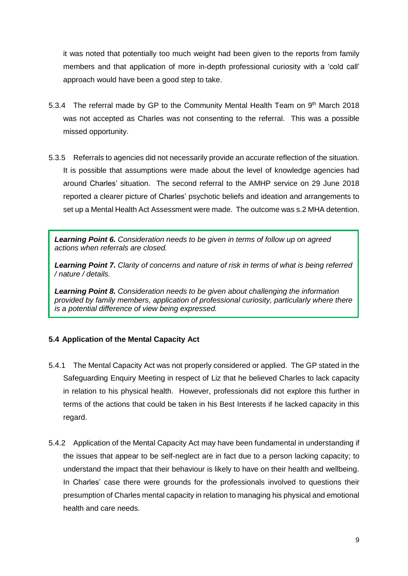it was noted that potentially too much weight had been given to the reports from family members and that application of more in-depth professional curiosity with a 'cold call' approach would have been a good step to take.

- 5.3.4 The referral made by GP to the Community Mental Health Team on  $9<sup>th</sup>$  March 2018 was not accepted as Charles was not consenting to the referral. This was a possible missed opportunity.
- 5.3.5 Referrals to agencies did not necessarily provide an accurate reflection of the situation. It is possible that assumptions were made about the level of knowledge agencies had around Charles' situation. The second referral to the AMHP service on 29 June 2018 reported a clearer picture of Charles' psychotic beliefs and ideation and arrangements to set up a Mental Health Act Assessment were made. The outcome was s.2 MHA detention.

*Learning Point 6. Consideration needs to be given in terms of follow up on agreed actions when referrals are closed.*

*Learning Point 7. Clarity of concerns and nature of risk in terms of what is being referred / nature / details.*

*Learning Point 8. Consideration needs to be given about challenging the information provided by family members, application of professional curiosity, particularly where there is a potential difference of view being expressed.*

## **5.4 Application of the Mental Capacity Act**

- 5.4.1 The Mental Capacity Act was not properly considered or applied. The GP stated in the Safeguarding Enquiry Meeting in respect of Liz that he believed Charles to lack capacity in relation to his physical health. However, professionals did not explore this further in terms of the actions that could be taken in his Best Interests if he lacked capacity in this regard.
- 5.4.2 Application of the Mental Capacity Act may have been fundamental in understanding if the issues that appear to be self-neglect are in fact due to a person lacking capacity; to understand the impact that their behaviour is likely to have on their health and wellbeing. In Charles' case there were grounds for the professionals involved to questions their presumption of Charles mental capacity in relation to managing his physical and emotional health and care needs.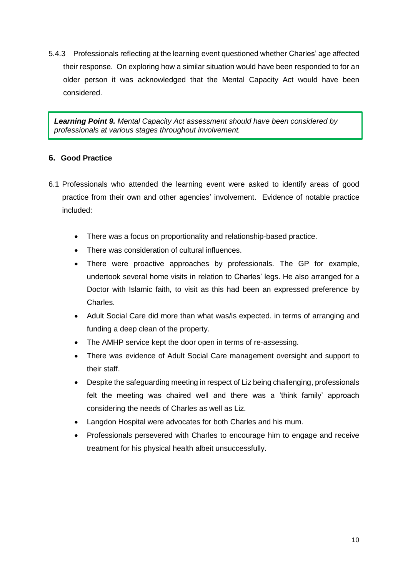5.4.3 Professionals reflecting at the learning event questioned whether Charles' age affected their response. On exploring how a similar situation would have been responded to for an older person it was acknowledged that the Mental Capacity Act would have been considered.

*Learning Point 9. Mental Capacity Act assessment should have been considered by professionals at various stages throughout involvement.*

## **6. Good Practice**

- 6.1 Professionals who attended the learning event were asked to identify areas of good practice from their own and other agencies' involvement. Evidence of notable practice included:
	- There was a focus on proportionality and relationship-based practice.
	- There was consideration of cultural influences.
	- There were proactive approaches by professionals. The GP for example, undertook several home visits in relation to Charles' legs. He also arranged for a Doctor with Islamic faith, to visit as this had been an expressed preference by Charles.
	- Adult Social Care did more than what was/is expected. in terms of arranging and funding a deep clean of the property.
	- The AMHP service kept the door open in terms of re-assessing.
	- There was evidence of Adult Social Care management oversight and support to their staff.
	- Despite the safeguarding meeting in respect of Liz being challenging, professionals felt the meeting was chaired well and there was a 'think family' approach considering the needs of Charles as well as Liz.
	- Langdon Hospital were advocates for both Charles and his mum.
	- Professionals persevered with Charles to encourage him to engage and receive treatment for his physical health albeit unsuccessfully.